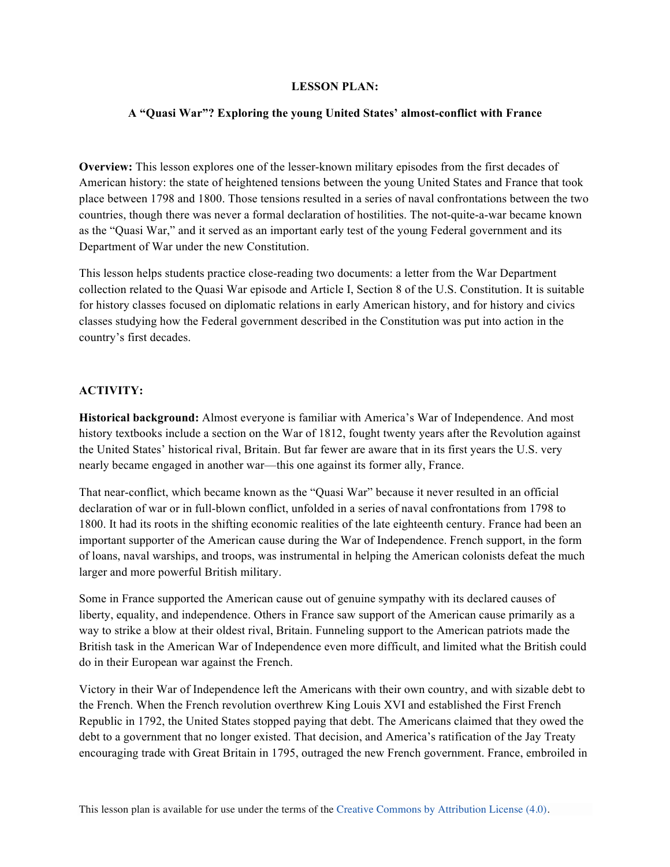## **LESSON PLAN:**

## **A "Quasi War"? Exploring the young United States' almost-conflict with France**

**Overview:** This lesson explores one of the lesser-known military episodes from the first decades of American history: the state of heightened tensions between the young United States and France that took place between 1798 and 1800. Those tensions resulted in a series of naval confrontations between the two countries, though there was never a formal declaration of hostilities. The not-quite-a-war became known as the "Quasi War," and it served as an important early test of the young Federal government and its Department of War under the new Constitution.

This lesson helps students practice close-reading two documents: a letter from the War Department collection related to the Quasi War episode and Article I, Section 8 of the U.S. Constitution. It is suitable for history classes focused on diplomatic relations in early American history, and for history and civics classes studying how the Federal government described in the Constitution was put into action in the country's first decades.

# **ACTIVITY:**

**Historical background:** Almost everyone is familiar with America's War of Independence. And most history textbooks include a section on the War of 1812, fought twenty years after the Revolution against the United States' historical rival, Britain. But far fewer are aware that in its first years the U.S. very nearly became engaged in another war—this one against its former ally, France.

That near-conflict, which became known as the "Quasi War" because it never resulted in an official declaration of war or in full-blown conflict, unfolded in a series of naval confrontations from 1798 to 1800. It had its roots in the shifting economic realities of the late eighteenth century. France had been an important supporter of the American cause during the War of Independence. French support, in the form of loans, naval warships, and troops, was instrumental in helping the American colonists defeat the much larger and more powerful British military.

Some in France supported the American cause out of genuine sympathy with its declared causes of liberty, equality, and independence. Others in France saw support of the American cause primarily as a way to strike a blow at their oldest rival, Britain. Funneling support to the American patriots made the British task in the American War of Independence even more difficult, and limited what the British could do in their European war against the French.

Victory in their War of Independence left the Americans with their own country, and with sizable debt to the French. When the French revolution overthrew King Louis XVI and established the First French Republic in 1792, the United States stopped paying that debt. The Americans claimed that they owed the debt to a government that no longer existed. That decision, and America's ratification of the Jay Treaty encouraging trade with Great Britain in 1795, outraged the new French government. France, embroiled in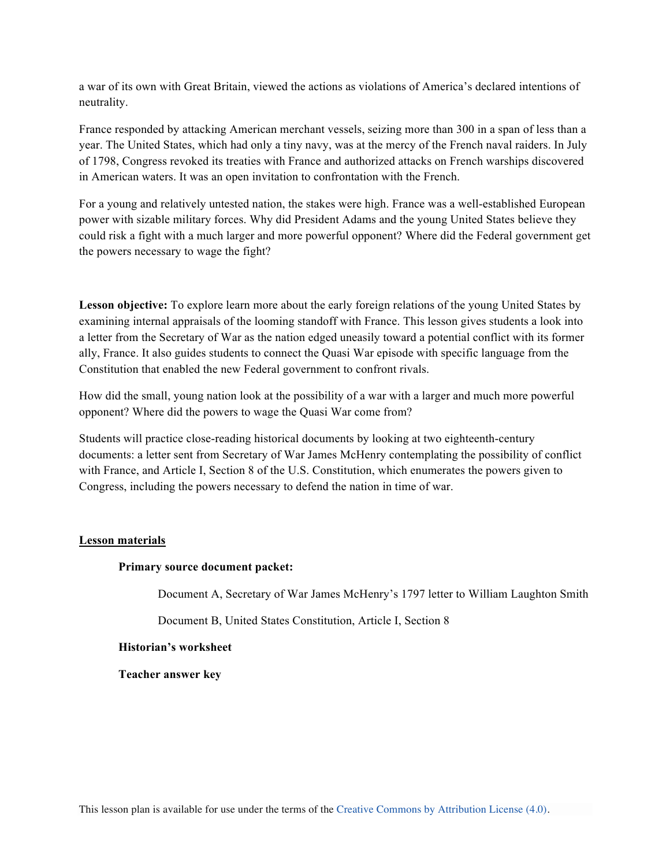a war of its own with Great Britain, viewed the actions as violations of America's declared intentions of neutrality.

France responded by attacking American merchant vessels, seizing more than 300 in a span of less than a year. The United States, which had only a tiny navy, was at the mercy of the French naval raiders. In July of 1798, Congress revoked its treaties with France and authorized attacks on French warships discovered in American waters. It was an open invitation to confrontation with the French.

For a young and relatively untested nation, the stakes were high. France was a well-established European power with sizable military forces. Why did President Adams and the young United States believe they could risk a fight with a much larger and more powerful opponent? Where did the Federal government get the powers necessary to wage the fight?

**Lesson objective:** To explore learn more about the early foreign relations of the young United States by examining internal appraisals of the looming standoff with France. This lesson gives students a look into a letter from the Secretary of War as the nation edged uneasily toward a potential conflict with its former ally, France. It also guides students to connect the Quasi War episode with specific language from the Constitution that enabled the new Federal government to confront rivals.

How did the small, young nation look at the possibility of a war with a larger and much more powerful opponent? Where did the powers to wage the Quasi War come from?

Students will practice close-reading historical documents by looking at two eighteenth-century documents: a letter sent from Secretary of War James McHenry contemplating the possibility of conflict with France, and Article I, Section 8 of the U.S. Constitution, which enumerates the powers given to Congress, including the powers necessary to defend the nation in time of war.

#### **Lesson materials**

#### **Primary source document packet:**

Document A, Secretary of War James McHenry's 1797 letter to William Laughton Smith

Document B, United States Constitution, Article I, Section 8

### **Historian's worksheet**

**Teacher answer key**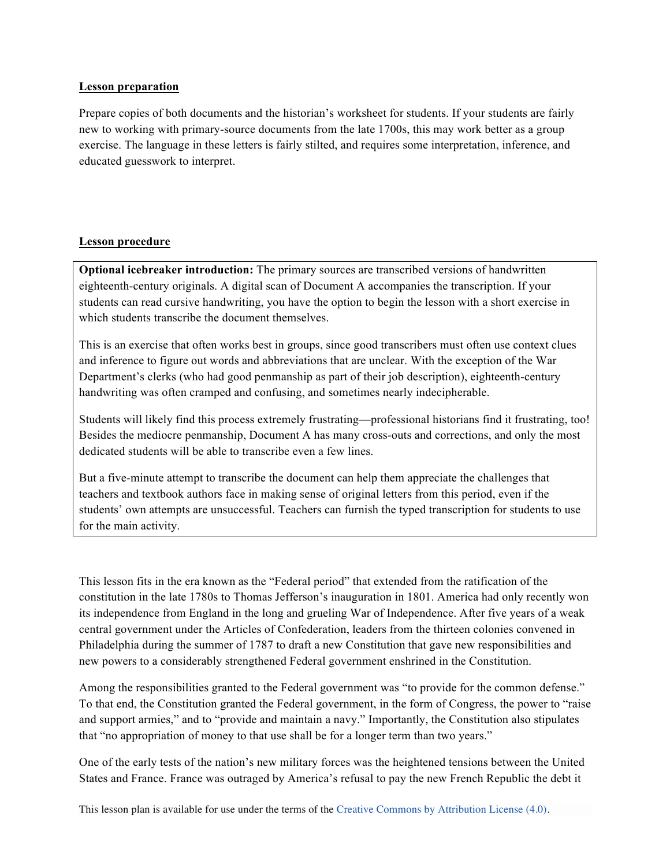# **Lesson preparation**

Prepare copies of both documents and the historian's worksheet for students. If your students are fairly new to working with primary-source documents from the late 1700s, this may work better as a group exercise. The language in these letters is fairly stilted, and requires some interpretation, inference, and educated guesswork to interpret.

## **Lesson procedure**

**Optional icebreaker introduction:** The primary sources are transcribed versions of handwritten eighteenth-century originals. A digital scan of Document A accompanies the transcription. If your students can read cursive handwriting, you have the option to begin the lesson with a short exercise in which students transcribe the document themselves.

This is an exercise that often works best in groups, since good transcribers must often use context clues and inference to figure out words and abbreviations that are unclear. With the exception of the War Department's clerks (who had good penmanship as part of their job description), eighteenth-century handwriting was often cramped and confusing, and sometimes nearly indecipherable.

Students will likely find this process extremely frustrating—professional historians find it frustrating, too! Besides the mediocre penmanship, Document A has many cross-outs and corrections, and only the most dedicated students will be able to transcribe even a few lines.

But a five-minute attempt to transcribe the document can help them appreciate the challenges that teachers and textbook authors face in making sense of original letters from this period, even if the students' own attempts are unsuccessful. Teachers can furnish the typed transcription for students to use for the main activity.

This lesson fits in the era known as the "Federal period" that extended from the ratification of the constitution in the late 1780s to Thomas Jefferson's inauguration in 1801. America had only recently won its independence from England in the long and grueling War of Independence. After five years of a weak central government under the Articles of Confederation, leaders from the thirteen colonies convened in Philadelphia during the summer of 1787 to draft a new Constitution that gave new responsibilities and new powers to a considerably strengthened Federal government enshrined in the Constitution.

Among the responsibilities granted to the Federal government was "to provide for the common defense." To that end, the Constitution granted the Federal government, in the form of Congress, the power to "raise and support armies," and to "provide and maintain a navy." Importantly, the Constitution also stipulates that "no appropriation of money to that use shall be for a longer term than two years."

One of the early tests of the nation's new military forces was the heightened tensions between the United States and France. France was outraged by America's refusal to pay the new French Republic the debt it

This lesson plan is available for use under the terms of the Creative Commons by Attribution License (4.0).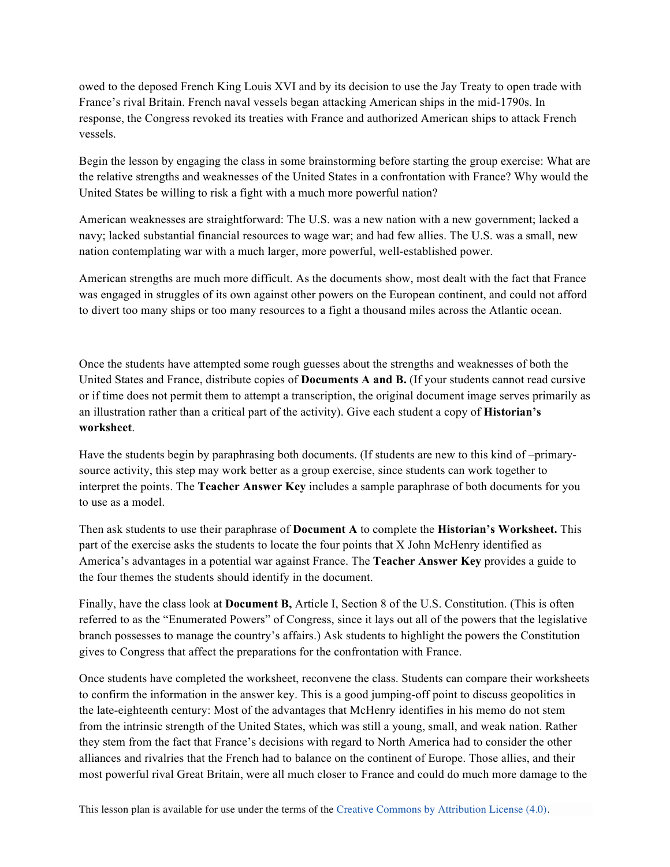owed to the deposed French King Louis XVI and by its decision to use the Jay Treaty to open trade with France's rival Britain. French naval vessels began attacking American ships in the mid-1790s. In response, the Congress revoked its treaties with France and authorized American ships to attack French vessels.

Begin the lesson by engaging the class in some brainstorming before starting the group exercise: What are the relative strengths and weaknesses of the United States in a confrontation with France? Why would the United States be willing to risk a fight with a much more powerful nation?

American weaknesses are straightforward: The U.S. was a new nation with a new government; lacked a navy; lacked substantial financial resources to wage war; and had few allies. The U.S. was a small, new nation contemplating war with a much larger, more powerful, well-established power.

American strengths are much more difficult. As the documents show, most dealt with the fact that France was engaged in struggles of its own against other powers on the European continent, and could not afford to divert too many ships or too many resources to a fight a thousand miles across the Atlantic ocean.

Once the students have attempted some rough guesses about the strengths and weaknesses of both the United States and France, distribute copies of **Documents A and B.** (If your students cannot read cursive or if time does not permit them to attempt a transcription, the original document image serves primarily as an illustration rather than a critical part of the activity). Give each student a copy of **Historian's worksheet**.

Have the students begin by paraphrasing both documents. (If students are new to this kind of –primarysource activity, this step may work better as a group exercise, since students can work together to interpret the points. The **Teacher Answer Key** includes a sample paraphrase of both documents for you to use as a model.

Then ask students to use their paraphrase of **Document A** to complete the **Historian's Worksheet.** This part of the exercise asks the students to locate the four points that X John McHenry identified as America's advantages in a potential war against France. The **Teacher Answer Key** provides a guide to the four themes the students should identify in the document.

Finally, have the class look at **Document B,** Article I, Section 8 of the U.S. Constitution. (This is often referred to as the "Enumerated Powers" of Congress, since it lays out all of the powers that the legislative branch possesses to manage the country's affairs.) Ask students to highlight the powers the Constitution gives to Congress that affect the preparations for the confrontation with France.

Once students have completed the worksheet, reconvene the class. Students can compare their worksheets to confirm the information in the answer key. This is a good jumping-off point to discuss geopolitics in the late-eighteenth century: Most of the advantages that McHenry identifies in his memo do not stem from the intrinsic strength of the United States, which was still a young, small, and weak nation. Rather they stem from the fact that France's decisions with regard to North America had to consider the other alliances and rivalries that the French had to balance on the continent of Europe. Those allies, and their most powerful rival Great Britain, were all much closer to France and could do much more damage to the